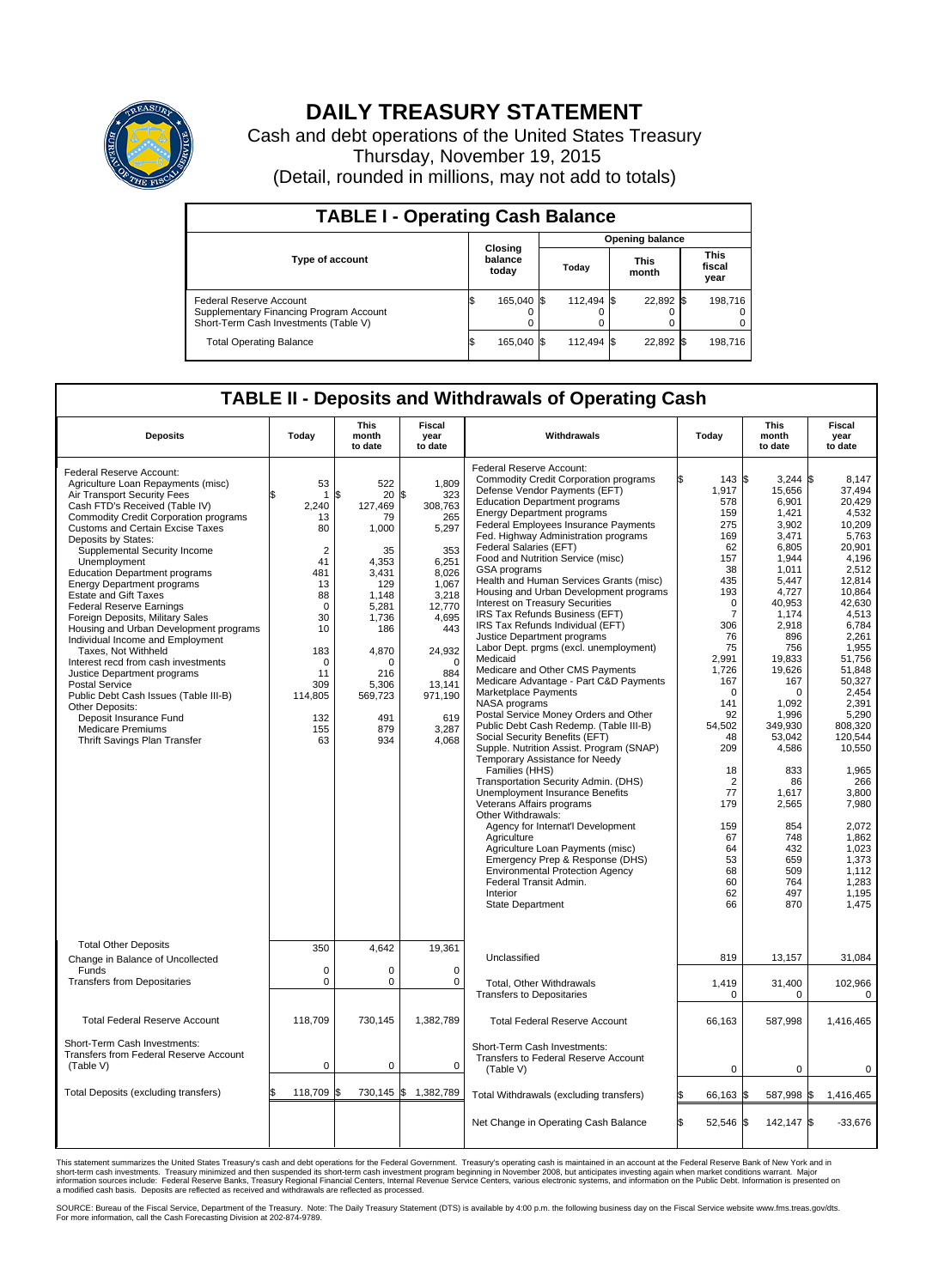

## **DAILY TREASURY STATEMENT**

Cash and debt operations of the United States Treasury Thursday, November 19, 2015 (Detail, rounded in millions, may not add to totals)

| <b>TABLE I - Operating Cash Balance</b>                                                                     |  |                             |  |                        |  |                      |  |                               |  |  |  |
|-------------------------------------------------------------------------------------------------------------|--|-----------------------------|--|------------------------|--|----------------------|--|-------------------------------|--|--|--|
|                                                                                                             |  | Closing<br>balance<br>today |  | <b>Opening balance</b> |  |                      |  |                               |  |  |  |
| <b>Type of account</b>                                                                                      |  |                             |  | Todav                  |  | <b>This</b><br>month |  | <b>This</b><br>fiscal<br>year |  |  |  |
| Federal Reserve Account<br>Supplementary Financing Program Account<br>Short-Term Cash Investments (Table V) |  | 165.040 \$                  |  | 112.494 \$             |  | 22,892 \$            |  | 198.716                       |  |  |  |
| <b>Total Operating Balance</b>                                                                              |  | 165,040 \$                  |  | 112.494 \$             |  | 22,892 \$            |  | 198,716                       |  |  |  |

## **TABLE II - Deposits and Withdrawals of Operating Cash**

| <b>Deposits</b>                                                                                                                                                                                                                                                                                                                                                                                                                                                                                                                                                                                                                                                                                                                                                                                                                      | Today                                                                                                                                                                        | This<br>month<br>to date                                                                                                                                                        | Fiscal<br>year<br>to date                                                                                                                                                                     | Withdrawals                                                                                                                                                                                                                                                                                                                                                                                                                                                                                                                                                                                                                                                                                                                                                                                                                                                                                                                                                                                                                                                                                                                                                                                                                                                                                                                                                    | Today                                                                                                                                                                                                                                                                                                 | This<br>month<br>to date                                                                                                                                                                                                                                                                                                      | <b>Fiscal</b><br>year<br>to date                                                                                                                                                                                                                                                                                                                       |
|--------------------------------------------------------------------------------------------------------------------------------------------------------------------------------------------------------------------------------------------------------------------------------------------------------------------------------------------------------------------------------------------------------------------------------------------------------------------------------------------------------------------------------------------------------------------------------------------------------------------------------------------------------------------------------------------------------------------------------------------------------------------------------------------------------------------------------------|------------------------------------------------------------------------------------------------------------------------------------------------------------------------------|---------------------------------------------------------------------------------------------------------------------------------------------------------------------------------|-----------------------------------------------------------------------------------------------------------------------------------------------------------------------------------------------|----------------------------------------------------------------------------------------------------------------------------------------------------------------------------------------------------------------------------------------------------------------------------------------------------------------------------------------------------------------------------------------------------------------------------------------------------------------------------------------------------------------------------------------------------------------------------------------------------------------------------------------------------------------------------------------------------------------------------------------------------------------------------------------------------------------------------------------------------------------------------------------------------------------------------------------------------------------------------------------------------------------------------------------------------------------------------------------------------------------------------------------------------------------------------------------------------------------------------------------------------------------------------------------------------------------------------------------------------------------|-------------------------------------------------------------------------------------------------------------------------------------------------------------------------------------------------------------------------------------------------------------------------------------------------------|-------------------------------------------------------------------------------------------------------------------------------------------------------------------------------------------------------------------------------------------------------------------------------------------------------------------------------|--------------------------------------------------------------------------------------------------------------------------------------------------------------------------------------------------------------------------------------------------------------------------------------------------------------------------------------------------------|
| Federal Reserve Account:<br>Agriculture Loan Repayments (misc)<br>Air Transport Security Fees<br>Cash FTD's Received (Table IV)<br><b>Commodity Credit Corporation programs</b><br><b>Customs and Certain Excise Taxes</b><br>Deposits by States:<br>Supplemental Security Income<br>Unemployment<br><b>Education Department programs</b><br><b>Energy Department programs</b><br><b>Estate and Gift Taxes</b><br><b>Federal Reserve Earnings</b><br>Foreign Deposits, Military Sales<br>Housing and Urban Development programs<br>Individual Income and Employment<br>Taxes, Not Withheld<br>Interest recd from cash investments<br>Justice Department programs<br><b>Postal Service</b><br>Public Debt Cash Issues (Table III-B)<br>Other Deposits:<br>Deposit Insurance Fund<br>Medicare Premiums<br>Thrift Savings Plan Transfer | 53<br>$\mathbf{1}$<br>2,240<br>13<br>80<br>$\overline{2}$<br>41<br>481<br>13<br>88<br>$\Omega$<br>30<br>10<br>183<br>$\mathbf 0$<br>11<br>309<br>114,805<br>132<br>155<br>63 | 522<br>\$<br>20<br>127,469<br>79<br>1,000<br>35<br>4,353<br>3,431<br>129<br>1.148<br>5,281<br>1,736<br>186<br>4,870<br>$\Omega$<br>216<br>5.306<br>569,723<br>491<br>879<br>934 | 1,809<br>\$<br>323<br>308,763<br>265<br>5,297<br>353<br>6,251<br>8,026<br>1,067<br>3,218<br>12,770<br>4,695<br>443<br>24,932<br>$\Omega$<br>884<br>13,141<br>971,190<br>619<br>3,287<br>4,068 | Federal Reserve Account:<br><b>Commodity Credit Corporation programs</b><br>Defense Vendor Payments (EFT)<br><b>Education Department programs</b><br><b>Energy Department programs</b><br><b>Federal Employees Insurance Payments</b><br>Fed. Highway Administration programs<br>Federal Salaries (EFT)<br>Food and Nutrition Service (misc)<br>GSA programs<br>Health and Human Services Grants (misc)<br>Housing and Urban Development programs<br>Interest on Treasury Securities<br>IRS Tax Refunds Business (EFT)<br>IRS Tax Refunds Individual (EFT)<br>Justice Department programs<br>Labor Dept. prgms (excl. unemployment)<br>Medicaid<br>Medicare and Other CMS Payments<br>Medicare Advantage - Part C&D Payments<br>Marketplace Payments<br>NASA programs<br>Postal Service Money Orders and Other<br>Public Debt Cash Redemp. (Table III-B)<br>Social Security Benefits (EFT)<br>Supple. Nutrition Assist. Program (SNAP)<br>Temporary Assistance for Needy<br>Families (HHS)<br>Transportation Security Admin. (DHS)<br>Unemployment Insurance Benefits<br>Veterans Affairs programs<br>Other Withdrawals:<br>Agency for Internat'l Development<br>Agriculture<br>Agriculture Loan Payments (misc)<br>Emergency Prep & Response (DHS)<br><b>Environmental Protection Agency</b><br>Federal Transit Admin.<br>Interior<br><b>State Department</b> | ß.<br>143 \$<br>1,917<br>578<br>159<br>275<br>169<br>62<br>157<br>38<br>435<br>193<br>$\mathbf 0$<br>$\overline{7}$<br>306<br>76<br>75<br>2.991<br>1,726<br>167<br>$\Omega$<br>141<br>92<br>54,502<br>48<br>209<br>18<br>$\overline{2}$<br>77<br>179<br>159<br>67<br>64<br>53<br>68<br>60<br>62<br>66 | $3,244$ \$<br>15,656<br>6,901<br>1,421<br>3.902<br>3,471<br>6,805<br>1,944<br>1.011<br>5,447<br>4,727<br>40,953<br>1,174<br>2,918<br>896<br>756<br>19,833<br>19,626<br>167<br>$\Omega$<br>1,092<br>1,996<br>349,930<br>53,042<br>4,586<br>833<br>86<br>1,617<br>2,565<br>854<br>748<br>432<br>659<br>509<br>764<br>497<br>870 | 8,147<br>37,494<br>20,429<br>4,532<br>10.209<br>5,763<br>20.901<br>4,196<br>2.512<br>12,814<br>10.864<br>42,630<br>4,513<br>6,784<br>2,261<br>1.955<br>51.756<br>51,848<br>50,327<br>2,454<br>2,391<br>5,290<br>808.320<br>120,544<br>10,550<br>1,965<br>266<br>3,800<br>7,980<br>2,072<br>1,862<br>1,023<br>1,373<br>1.112<br>1,283<br>1,195<br>1,475 |
| <b>Total Other Deposits</b><br>Change in Balance of Uncollected<br>Funds                                                                                                                                                                                                                                                                                                                                                                                                                                                                                                                                                                                                                                                                                                                                                             | 350<br>$\mathbf 0$                                                                                                                                                           | 4,642<br>0                                                                                                                                                                      | 19,361<br>0                                                                                                                                                                                   | Unclassified                                                                                                                                                                                                                                                                                                                                                                                                                                                                                                                                                                                                                                                                                                                                                                                                                                                                                                                                                                                                                                                                                                                                                                                                                                                                                                                                                   | 819                                                                                                                                                                                                                                                                                                   | 13,157                                                                                                                                                                                                                                                                                                                        | 31,084                                                                                                                                                                                                                                                                                                                                                 |
| <b>Transfers from Depositaries</b>                                                                                                                                                                                                                                                                                                                                                                                                                                                                                                                                                                                                                                                                                                                                                                                                   | $\mathbf 0$                                                                                                                                                                  | 0                                                                                                                                                                               | $\Omega$                                                                                                                                                                                      | <b>Total, Other Withdrawals</b><br><b>Transfers to Depositaries</b>                                                                                                                                                                                                                                                                                                                                                                                                                                                                                                                                                                                                                                                                                                                                                                                                                                                                                                                                                                                                                                                                                                                                                                                                                                                                                            | 1,419<br>0                                                                                                                                                                                                                                                                                            | 31,400<br>0                                                                                                                                                                                                                                                                                                                   | 102,966<br>$\Omega$                                                                                                                                                                                                                                                                                                                                    |
| <b>Total Federal Reserve Account</b>                                                                                                                                                                                                                                                                                                                                                                                                                                                                                                                                                                                                                                                                                                                                                                                                 | 118,709                                                                                                                                                                      | 730,145                                                                                                                                                                         | 1,382,789                                                                                                                                                                                     | <b>Total Federal Reserve Account</b>                                                                                                                                                                                                                                                                                                                                                                                                                                                                                                                                                                                                                                                                                                                                                                                                                                                                                                                                                                                                                                                                                                                                                                                                                                                                                                                           | 66,163                                                                                                                                                                                                                                                                                                | 587,998                                                                                                                                                                                                                                                                                                                       | 1,416,465                                                                                                                                                                                                                                                                                                                                              |
| Short-Term Cash Investments:<br><b>Transfers from Federal Reserve Account</b><br>(Table V)                                                                                                                                                                                                                                                                                                                                                                                                                                                                                                                                                                                                                                                                                                                                           | $\pmb{0}$                                                                                                                                                                    | 0                                                                                                                                                                               | $\mathbf 0$                                                                                                                                                                                   | Short-Term Cash Investments:<br>Transfers to Federal Reserve Account<br>(Table V)                                                                                                                                                                                                                                                                                                                                                                                                                                                                                                                                                                                                                                                                                                                                                                                                                                                                                                                                                                                                                                                                                                                                                                                                                                                                              | $\mathbf 0$                                                                                                                                                                                                                                                                                           | $\mathbf 0$                                                                                                                                                                                                                                                                                                                   | $\mathbf 0$                                                                                                                                                                                                                                                                                                                                            |
| <b>Total Deposits (excluding transfers)</b>                                                                                                                                                                                                                                                                                                                                                                                                                                                                                                                                                                                                                                                                                                                                                                                          | 118,709                                                                                                                                                                      | ß.                                                                                                                                                                              | 730,145 \$ 1,382,789                                                                                                                                                                          | Total Withdrawals (excluding transfers)                                                                                                                                                                                                                                                                                                                                                                                                                                                                                                                                                                                                                                                                                                                                                                                                                                                                                                                                                                                                                                                                                                                                                                                                                                                                                                                        | 66,163                                                                                                                                                                                                                                                                                                | \$<br>587,998                                                                                                                                                                                                                                                                                                                 | 1,416,465<br>l\$                                                                                                                                                                                                                                                                                                                                       |
|                                                                                                                                                                                                                                                                                                                                                                                                                                                                                                                                                                                                                                                                                                                                                                                                                                      |                                                                                                                                                                              |                                                                                                                                                                                 |                                                                                                                                                                                               | Net Change in Operating Cash Balance                                                                                                                                                                                                                                                                                                                                                                                                                                                                                                                                                                                                                                                                                                                                                                                                                                                                                                                                                                                                                                                                                                                                                                                                                                                                                                                           | S.<br>52,546 \$                                                                                                                                                                                                                                                                                       | 142,147 \$                                                                                                                                                                                                                                                                                                                    | $-33,676$                                                                                                                                                                                                                                                                                                                                              |

This statement summarizes the United States Treasury's cash and debt operations for the Federal Government. Treasury's operating cash is maintained in an account at the Federal Reserve Bank of New York and in<br>short-term ca

SOURCE: Bureau of the Fiscal Service, Department of the Treasury. Note: The Daily Treasury Statement (DTS) is available by 4:00 p.m. the following business day on the Fiscal Service website www.fms.treas.gov/dts.<br>For more